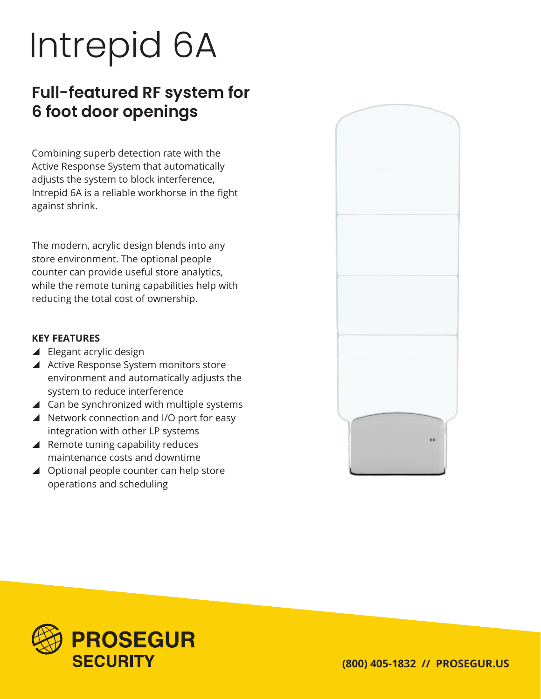# Intrepid 6A

## **Full-featured RF system for 6 foot door openings**

Combining superb detection rate with the Active Response System that automatically adjusts the system to block interference, Intrepid 6A is a reliable workhorse in the fight against shrink.

The modern, acrylic design blends into any store environment. The optional people counter can provide useful store analytics, while the remote tuning capabilities help with reducing the total cost of ownership.

#### **KEY FEATURES**

- $\blacktriangle$  Elegant acrylic design
- ▲ Active Response System monitors store environment and automatically adjusts the system to reduce interference
- $\blacktriangle$  Can be synchronized with multiple systems
- $\blacktriangle$  Network connection and I/O port for easy integration with other LP systems
- $\blacktriangle$  Remote tuning capability reduces maintenance costs and downtime
- $\triangle$  Optional people counter can help store operations and scheduling